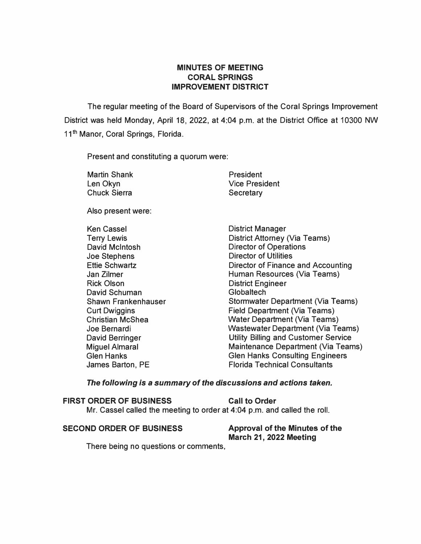# **MINUTES OF MEETING CORAL SPRINGS IMPROVEMENT DISTRICT**

The regular meeting of the Board of Supervisors of the Coral Springs Improvement District was held Monday, April 18, 2022, at 4:04 p.m. at the District Office at 10300 NW 11**th** Manor, Coral Springs, Florida.

Present and constituting a quorum were:

| <b>Martin Shank</b> | President             |
|---------------------|-----------------------|
| Len Okyn            | <b>Vice President</b> |
| <b>Chuck Sierra</b> | Secretary             |

Also present were:

| Ken Cassel                 |
|----------------------------|
| <b>Terry Lewis</b>         |
| <b>David McIntosh</b>      |
| <b>Joe Stephens</b>        |
| <b>Ettie Schwartz</b>      |
| Jan Zilmer                 |
| <b>Rick Olson</b>          |
| David Schuman              |
| <b>Shawn Frankenhauser</b> |
| <b>Curt Dwiggins</b>       |
| <b>Christian McShea</b>    |
| Joe Bernardi               |
| <b>David Berringer</b>     |
| <b>Miguel Almaral</b>      |
| <b>Glen Hanks</b>          |
| James Barton, PE           |
|                            |

District Manager District Attorney (Via Teams) Director of Operations Director of Utilities Director of Finance and Accounting Human Resources (Via Teams) **District Engineer** Globaltech Stormwater Department (Via Teams) Field Department (Via Teams) Water Department (Via Teams) Wastewater Department (Via Teams) Utility Billing and Customer Service Maintenance Department (Via Teams) Glen Hanks Consulting Engineers **Florida Technical Consultants** 

#### *The following is a summary of the discussions and actions taken.*

| <b>FIRST ORDER OF BUSINESS</b> | <b>Call to Order</b>                                                     |
|--------------------------------|--------------------------------------------------------------------------|
|                                | Mr. Cassel called the meeting to order at 4:04 p.m. and called the roll. |

#### **SECOND ORDER OF BUSINESS Approval of the Minutes of the**

# **March 21, 2022 Meeting**

There being no questions or comments,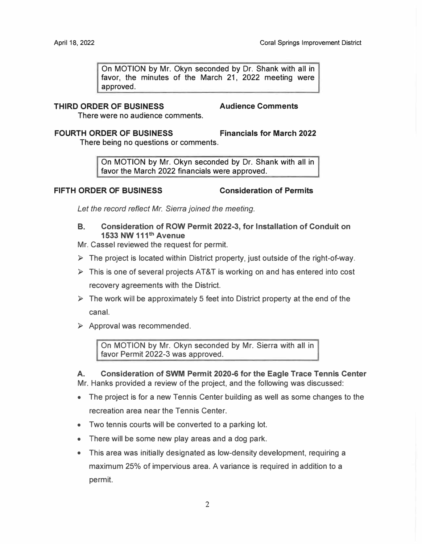On MOTION by Mr. Okyn seconded by Dr. Shank with all in favor, the minutes of the March 21, 2022 meeting were approved.

# **THIRD ORDER OF BUSINESS Audience Comments**

There were no audience comments.

#### **FOURTH ORDER OF BUSINESS Financials for March 2022**

There being no questions or comments.

On MOTION by Mr. Okyn seconded by Dr. Shank with all in favor the March 2022 financials were approved.

# **FIFTH ORDER OF BUSINESS Consideration of Permits**

*Let the record reflect Mr. Sierra joined the meeting.* 

**B. Consideration of ROW Permit 2022-3, for Installation of Conduit on 1533 NW 111th Avenue**

Mr. Cassel reviewed the request for permit.

- ► The project is located within District property, just outside of the right-of-way.
- $\triangleright$  This is one of several projects AT&T is working on and has entered into cost recovery agreements with the District.
- $\triangleright$  The work will be approximately 5 feet into District property at the end of the canal.
- $\triangleright$  Approval was recommended.

On MOTION by Mr. Okyn seconded by Mr. Sierra with all in favor Permit 2022-3 was approved.

**A. Consideration of SWM Permit 2020-6 for the Eagle Trace Tennis Center** Mr. Hanks provided a review of the project, and the following was discussed:

- The project is for a new Tennis Center building as well as some changes to the recreation area near the Tennis Center.
- Two tennis courts will be converted to a parking lot.
- There will be some new play areas and a dog park.
- This area was initially designated as low-density development, requiring a maximum 25% of impervious area. A variance is required in addition to a permit.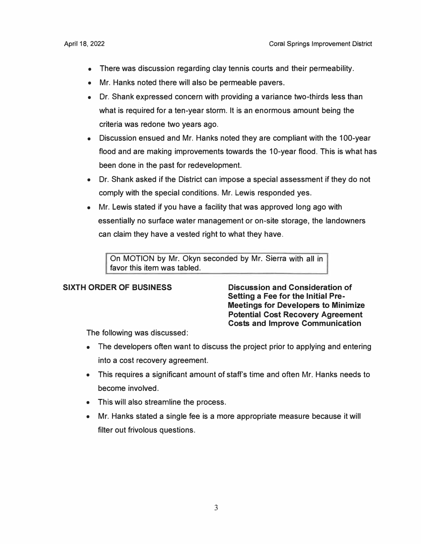- There was discussion regarding clay tennis courts and their permeability.
- Mr. Hanks noted there will also be permeable pavers.
- Dr. Shank expressed concern with providing a variance two-thirds less than what is required for a ten-year storm. It is an enormous amount being the criteria was redone two years ago.
- Discussion ensued and Mr. Hanks noted they are compliant with the 100-year flood and are making improvements towards the 10-year flood. This is what has been done in the past for redevelopment.
- Dr. Shank asked if the District can impose a special assessment if they do not comply with the special conditions. Mr. Lewis responded yes.
- Mr. Lewis stated if you have a facility that was approved long ago with essentially no surface water management or on-site storage, the landowners can claim they have a vested right to what they have.

On MOTION by Mr. Okyn seconded by Mr. Sierra with all in favor this item was tabled.

**SIXTH ORDER OF BUSINESS Discussion and Consideration of Setting a Fee for the Initial Pre-Meetings for Developers to Minimize Potential Cost Recovery Agreement Costs and Improve Communication** 

The following was discussed:

- The developers often want to discuss the project prior to applying and entering into a cost recovery agreement.
- This requires a significant amount of staff's time and often Mr. Hanks needs to become involved.
- This will also streamline the process.
- Mr. Hanks stated a single fee is a more appropriate measure because it will filter out frivolous questions.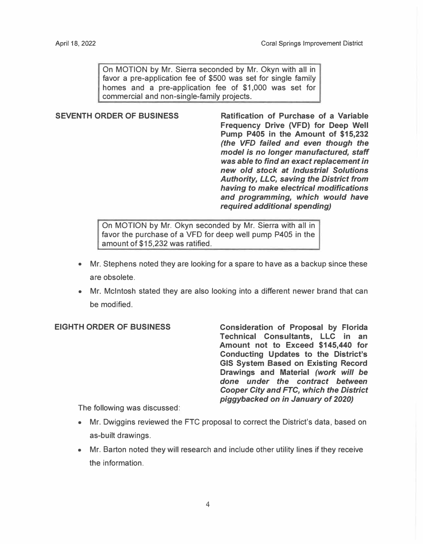On MOTION by Mr. Sierra seconded by Mr. Okyn with all in favor a pre-application fee of \$500 was set for single family homes and a pre-application fee of \$1,000 was set for commercial and non-single-family projects.

**SEVENTH ORDER OF BUSINESS Ratification of Purchase of a Variable Frequency Drive (VFD) for Deep Well Pump P405 in the Amount of \$15,232**  *(the VFD failed and even though the model is no longer manufactured, staff was able to find an exact replacement in new old stock at Industrial Solutions Authority, LLC, saving the District from having to make electrical modifications and programming, which would have required additional spending)* 

> On MOTION by Mr. Okyn seconded by Mr. Sierra with all in favor the purchase of a VFD for deep well pump P405 in the amount of \$15,232 was ratified.

- Mr. Stephens noted they are looking for a spare to have as a backup since these are obsolete.
- Mr. McIntosh stated they are also looking into a different newer brand that can be modified.

# **EIGHTH ORDER OF BUSINESS**

**Consideration of Proposal by Florida Technical Consultants, LLC in an Amount not to Exceed \$145,440 for Conducting Updates to the District's GIS System Based on Existing Record Drawings and Material** *(work will be done under the contract between Cooper City and FTC, which the District piggybacked on in January of 2020)* 

The following was discussed:

- Mr. Dwiggins reviewed the FTC proposal to correct the District's data, based on as-built drawings.
- Mr. Barton noted they will research and include other utility lines if they receive the information.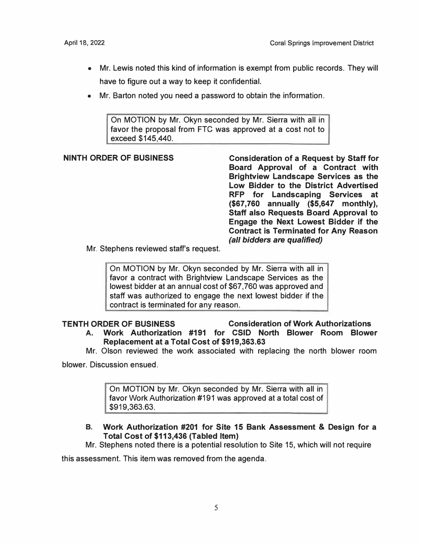- Mr. Lewis noted this kind of information is exempt from public records. They will have to figure out a way to keep it confidential.
- Mr. Barton noted you need a password to obtain the information.

On MOTION by Mr. Okyn seconded by Mr. Sierra with all in favor the proposal from FTC was approved at a cost not to exceed \$145,440.

**NINTH ORDER OF BUSINESS Consideration of a Request by Staff for Board Approval of a Contract with Brightview Landscape Services as the Low Bidder to the District Advertised RFP for Landscaping Services at (\$67,760 annually (\$5,647 monthly), Staff also Requests Board Approval to Engage the Next Lowest Bidder if the Contract is Terminated for Any Reason**  *(all bidders are qualified)* 

Mr. Stephens reviewed staff's request.

On MOTION by Mr. Okyn seconded by Mr. Sierra with all in favor a contract with Brightview Landscape Services as the lowest bidder at an annual cost of \$67,760 was approved and staff was authorized to engage the next lowest bidder if the contract is terminated for any reason.

# **TENTH ORDER OF BUSINESS Consideration of Work Authorizations**

- **A. Work Authorization #191 for CSID North Blower Room Blower Replacement at a Total Cost of \$[919,363.63](https://919,363.63)**
- Mr. Olson reviewed the work associated with replacing the north blower room

blower. Discussion ensued.

On MOTION by Mr. Okyn seconded by Mr. Sierra with all in favor Work Authorization #191 was approved at a total cost of [\\$919,363.63](https://919,363.63).

#### **B. Work Authorization #201 for Site 15 Bank Assessment & Design for a Total Cost of \$113,436 (Tabled Item)**

Mr. Stephens noted there is a potential resolution to Site 15, which will not require

this assessment. This item was removed from the agenda.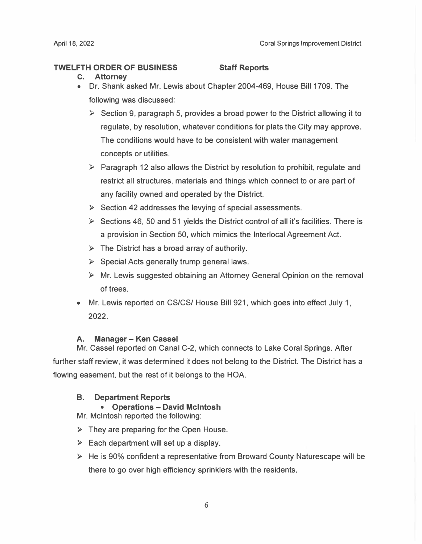## **TWELFTH ORDER OF BUSINESS Staff Reports**

- **c. Attorney**
- Dr. Shank asked Mr. Lewis about Chapter 2004-469, House Bill 1709. The following was discussed:
	- $\triangleright$  Section 9, paragraph 5, provides a broad power to the District allowing it to regulate, by resolution, whatever conditions for plats the City may approve. The conditions would have to be consistent with water management concepts or utilities.
	- $\triangleright$  Paragraph 12 also allows the District by resolution to prohibit, regulate and restrict all structures, materials and things which connect to or are part of any facility owned and operated by the District.
	- $\triangleright$  Section 42 addresses the levying of special assessments.
	- $\triangleright$  Sections 46, 50 and 51 yields the District control of all it's facilities. There is a provision in Section 50, which mimics the lnterlocal Agreement Act.
	- $\triangleright$  The District has a broad array of authority.
	- ► Special Acts generally trump general laws.
	- ► Mr. Lewis suggested obtaining an Attorney General Opinion on the removal of trees.
- Mr. Lewis reported on CS/CS/ House Bill 921, which goes into effect July 1, **2022.**

# **A. Manager - Ken Cassel**

Mr. Cassel reported on Canal C-2, which connects to Lake Coral Springs. After further staff review, it was determined it does not belong to the District. The District has a flowing easement, but the rest of it belongs to the HOA.

# **B. Department Reports**

# • **Operations - David McIntosh**

Mr. McIntosh reported the following:

- $\triangleright$  They are preparing for the Open House.
- $\triangleright$  Each department will set up a display.
- ► He is 90% confident a representative from Broward County Naturescape will be there to go over high efficiency sprinklers with the residents.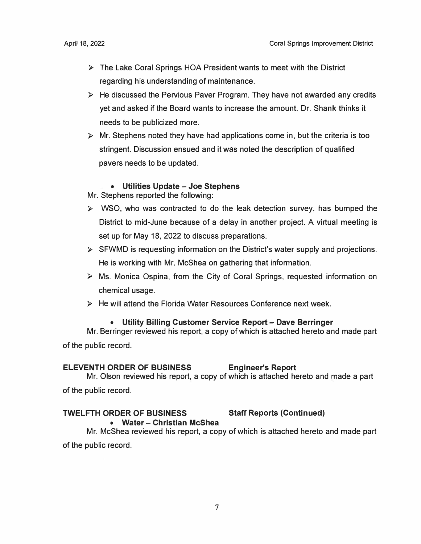- ► The Lake Coral Springs HOA President wants to meet with the District regarding his understanding of maintenance.
- ► He discussed the Pervious Paver Program. They have not awarded any credits yet and asked if the Board wants to increase the amount. Dr. Shank thinks it needs to be publicized more.
- $\triangleright$  Mr. Stephens noted they have had applications come in, but the criteria is too stringent. Discussion ensued and it was noted the description of qualified pavers needs to be updated.

#### • **Utilities Update** - **Joe Stephens**

Mr. Stephens reported the following:

- ► WSO, who was contracted to do the leak detection survey, has bumped the District to mid-June because of a delay in another project. A virtual meeting is set up for May 18, 2022 to discuss preparations.
- ► SFWMD is requesting information on the District's water supply and projections. He is working with Mr. McShea on gathering that information.
- ► Ms. Monica Ospina, from the City of Coral Springs, requested information on chemical usage.
- ► He will attend the Florida Water Resources Conference next week.

#### • **Utility Billing Customer Service Report** - **Dave Berringer**

Mr. Berringer reviewed his report, a copy of which is attached hereto and made part of the public record.

#### **ELEVENTH ORDER OF BUSINESS Engineer's Report**

Mr. Olson reviewed his report, a copy of which is attached hereto and made a part of the public record.

#### **TWELFTH ORDER OF BUSINESS Staff Reports (Continued)**

# • **Water** - **Christian McShea**

Mr. McShea reviewed his report, a copy of which is attached hereto and made part of the public record.